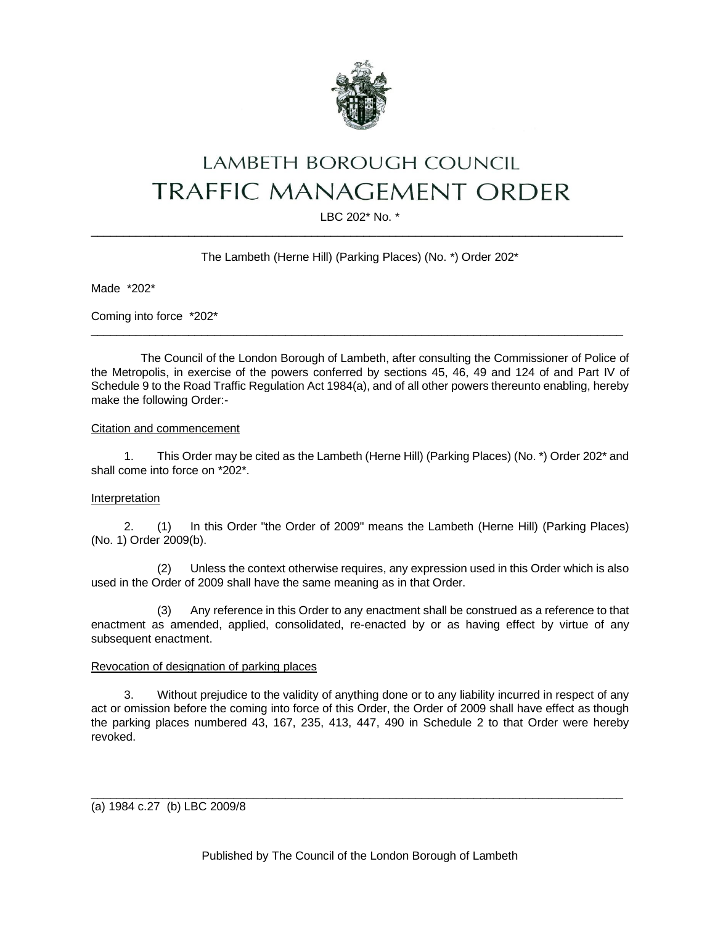

# LAMBETH BOROUGH COUNCIL **TRAFFIC MANAGEMENT ORDER**

LBC 202\* No. \*  $\_$  ,  $\_$  ,  $\_$  ,  $\_$  ,  $\_$  ,  $\_$  ,  $\_$  ,  $\_$  ,  $\_$  ,  $\_$  ,  $\_$  ,  $\_$  ,  $\_$  ,  $\_$  ,  $\_$  ,  $\_$  ,  $\_$  ,  $\_$  ,  $\_$  ,  $\_$  ,  $\_$  ,  $\_$  ,  $\_$  ,  $\_$  ,  $\_$  ,  $\_$  ,  $\_$  ,  $\_$  ,  $\_$  ,  $\_$  ,  $\_$  ,  $\_$  ,  $\_$  ,  $\_$  ,  $\_$  ,  $\_$  ,  $\_$  ,

# The Lambeth (Herne Hill) (Parking Places) (No. \*) Order 202\*

Made \*202\*

Coming into force \*202\*

The Council of the London Borough of Lambeth, after consulting the Commissioner of Police of the Metropolis, in exercise of the powers conferred by sections 45, 46, 49 and 124 of and Part IV of Schedule 9 to the Road Traffic Regulation Act 1984(a), and of all other powers thereunto enabling, hereby make the following Order:-

 $\_$  ,  $\_$  ,  $\_$  ,  $\_$  ,  $\_$  ,  $\_$  ,  $\_$  ,  $\_$  ,  $\_$  ,  $\_$  ,  $\_$  ,  $\_$  ,  $\_$  ,  $\_$  ,  $\_$  ,  $\_$  ,  $\_$  ,  $\_$  ,  $\_$  ,  $\_$  ,  $\_$  ,  $\_$  ,  $\_$  ,  $\_$  ,  $\_$  ,  $\_$  ,  $\_$  ,  $\_$  ,  $\_$  ,  $\_$  ,  $\_$  ,  $\_$  ,  $\_$  ,  $\_$  ,  $\_$  ,  $\_$  ,  $\_$  ,

## Citation and commencement

1. This Order may be cited as the Lambeth (Herne Hill) (Parking Places) (No. \*) Order 202\* and shall come into force on \*202\*.

## Interpretation

2. (1) In this Order "the Order of 2009" means the Lambeth (Herne Hill) (Parking Places) (No. 1) Order 2009(b).

(2) Unless the context otherwise requires, any expression used in this Order which is also used in the Order of 2009 shall have the same meaning as in that Order.

(3) Any reference in this Order to any enactment shall be construed as a reference to that enactment as amended, applied, consolidated, re-enacted by or as having effect by virtue of any subsequent enactment.

#### Revocation of designation of parking places

3. Without prejudice to the validity of anything done or to any liability incurred in respect of any act or omission before the coming into force of this Order, the Order of 2009 shall have effect as though the parking places numbered 43, 167, 235, 413, 447, 490 in Schedule 2 to that Order were hereby revoked.

(a) 1984 c.27 (b) LBC 2009/8

 $\_$  ,  $\_$  ,  $\_$  ,  $\_$  ,  $\_$  ,  $\_$  ,  $\_$  ,  $\_$  ,  $\_$  ,  $\_$  ,  $\_$  ,  $\_$  ,  $\_$  ,  $\_$  ,  $\_$  ,  $\_$  ,  $\_$  ,  $\_$  ,  $\_$  ,  $\_$  ,  $\_$  ,  $\_$  ,  $\_$  ,  $\_$  ,  $\_$  ,  $\_$  ,  $\_$  ,  $\_$  ,  $\_$  ,  $\_$  ,  $\_$  ,  $\_$  ,  $\_$  ,  $\_$  ,  $\_$  ,  $\_$  ,  $\_$  ,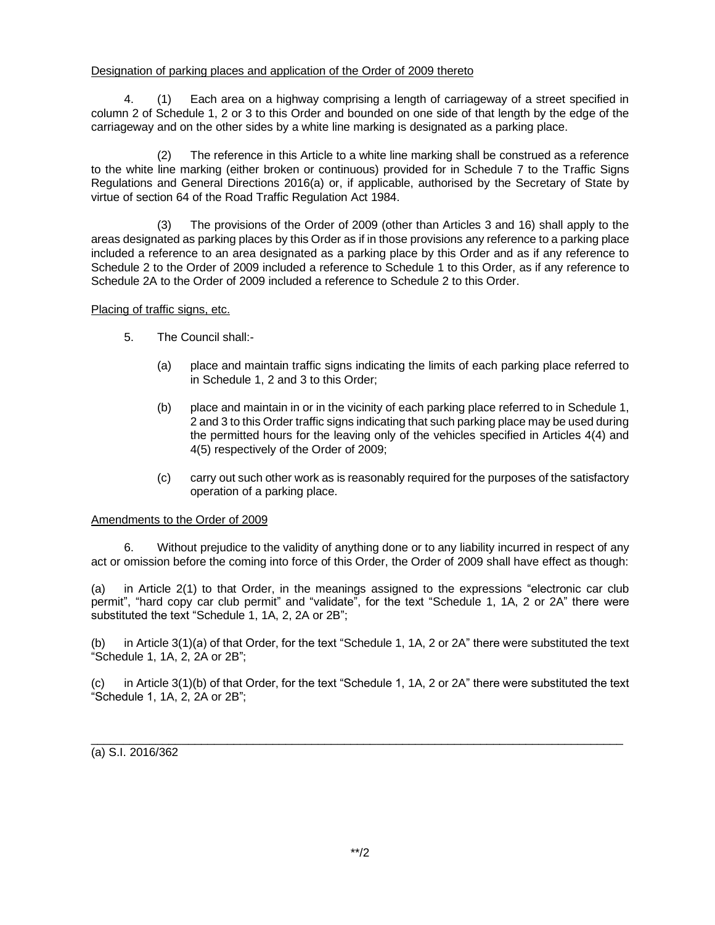## Designation of parking places and application of the Order of 2009 thereto

4. (1) Each area on a highway comprising a length of carriageway of a street specified in column 2 of Schedule 1, 2 or 3 to this Order and bounded on one side of that length by the edge of the carriageway and on the other sides by a white line marking is designated as a parking place.

(2) The reference in this Article to a white line marking shall be construed as a reference to the white line marking (either broken or continuous) provided for in Schedule 7 to the Traffic Signs Regulations and General Directions 2016(a) or, if applicable, authorised by the Secretary of State by virtue of section 64 of the Road Traffic Regulation Act 1984.

(3) The provisions of the Order of 2009 (other than Articles 3 and 16) shall apply to the areas designated as parking places by this Order as if in those provisions any reference to a parking place included a reference to an area designated as a parking place by this Order and as if any reference to Schedule 2 to the Order of 2009 included a reference to Schedule 1 to this Order, as if any reference to Schedule 2A to the Order of 2009 included a reference to Schedule 2 to this Order.

## Placing of traffic signs, etc.

- 5. The Council shall:-
	- (a) place and maintain traffic signs indicating the limits of each parking place referred to in Schedule 1, 2 and 3 to this Order;
	- (b) place and maintain in or in the vicinity of each parking place referred to in Schedule 1, 2 and 3 to this Order traffic signs indicating that such parking place may be used during the permitted hours for the leaving only of the vehicles specified in Articles 4(4) and 4(5) respectively of the Order of 2009;
	- (c) carry out such other work as is reasonably required for the purposes of the satisfactory operation of a parking place.

#### Amendments to the Order of 2009

6. Without prejudice to the validity of anything done or to any liability incurred in respect of any act or omission before the coming into force of this Order, the Order of 2009 shall have effect as though:

(a) in Article 2(1) to that Order, in the meanings assigned to the expressions "electronic car club permit", "hard copy car club permit" and "validate", for the text "Schedule 1, 1A, 2 or 2A" there were substituted the text "Schedule 1, 1A, 2, 2A or 2B";

(b) in Article 3(1)(a) of that Order, for the text "Schedule 1, 1A, 2 or 2A" there were substituted the text "Schedule 1, 1A, 2, 2A or 2B";

in Article 3(1)(b) of that Order, for the text "Schedule 1, 1A, 2 or 2A" there were substituted the text "Schedule 1, 1A, 2, 2A or 2B";

\_\_\_\_\_\_\_\_\_\_\_\_\_\_\_\_\_\_\_\_\_\_\_\_\_\_\_\_\_\_\_\_\_\_\_\_\_\_\_\_\_\_\_\_\_\_\_\_\_\_\_\_\_\_\_\_\_\_\_\_\_\_\_\_\_\_\_\_\_\_\_\_\_\_\_\_\_\_\_\_\_\_ (a) S.I. 2016/362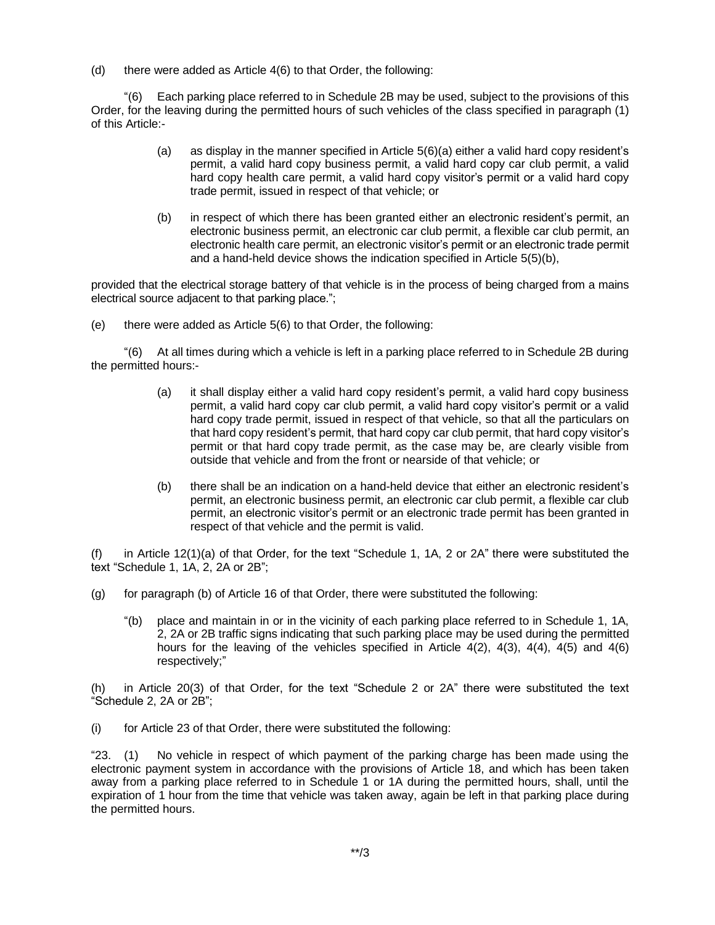(d) there were added as Article 4(6) to that Order, the following:

"(6) Each parking place referred to in Schedule 2B may be used, subject to the provisions of this Order, for the leaving during the permitted hours of such vehicles of the class specified in paragraph (1) of this Article:-

- (a) as display in the manner specified in Article 5(6)(a) either a valid hard copy resident's permit, a valid hard copy business permit, a valid hard copy car club permit, a valid hard copy health care permit, a valid hard copy visitor's permit or a valid hard copy trade permit, issued in respect of that vehicle; or
- (b) in respect of which there has been granted either an electronic resident's permit, an electronic business permit, an electronic car club permit, a flexible car club permit, an electronic health care permit, an electronic visitor's permit or an electronic trade permit and a hand-held device shows the indication specified in Article 5(5)(b),

provided that the electrical storage battery of that vehicle is in the process of being charged from a mains electrical source adjacent to that parking place.";

(e) there were added as Article 5(6) to that Order, the following:

"(6) At all times during which a vehicle is left in a parking place referred to in Schedule 2B during the permitted hours:-

- (a) it shall display either a valid hard copy resident's permit, a valid hard copy business permit, a valid hard copy car club permit, a valid hard copy visitor's permit or a valid hard copy trade permit, issued in respect of that vehicle, so that all the particulars on that hard copy resident's permit, that hard copy car club permit, that hard copy visitor's permit or that hard copy trade permit, as the case may be, are clearly visible from outside that vehicle and from the front or nearside of that vehicle; or
- (b) there shall be an indication on a hand-held device that either an electronic resident's permit, an electronic business permit, an electronic car club permit, a flexible car club permit, an electronic visitor's permit or an electronic trade permit has been granted in respect of that vehicle and the permit is valid.

(f) in Article 12(1)(a) of that Order, for the text "Schedule 1, 1A, 2 or 2A" there were substituted the text "Schedule 1, 1A, 2, 2A or 2B";

- (g) for paragraph (b) of Article 16 of that Order, there were substituted the following:
	- "(b) place and maintain in or in the vicinity of each parking place referred to in Schedule 1, 1A, 2, 2A or 2B traffic signs indicating that such parking place may be used during the permitted hours for the leaving of the vehicles specified in Article  $4(2)$ ,  $4(3)$ ,  $4(4)$ ,  $4(5)$  and  $4(6)$ respectively;"

(h) in Article 20(3) of that Order, for the text "Schedule 2 or 2A" there were substituted the text "Schedule 2, 2A or 2B";

(i) for Article 23 of that Order, there were substituted the following:

"23. (1) No vehicle in respect of which payment of the parking charge has been made using the electronic payment system in accordance with the provisions of Article 18, and which has been taken away from a parking place referred to in Schedule 1 or 1A during the permitted hours, shall, until the expiration of 1 hour from the time that vehicle was taken away, again be left in that parking place during the permitted hours.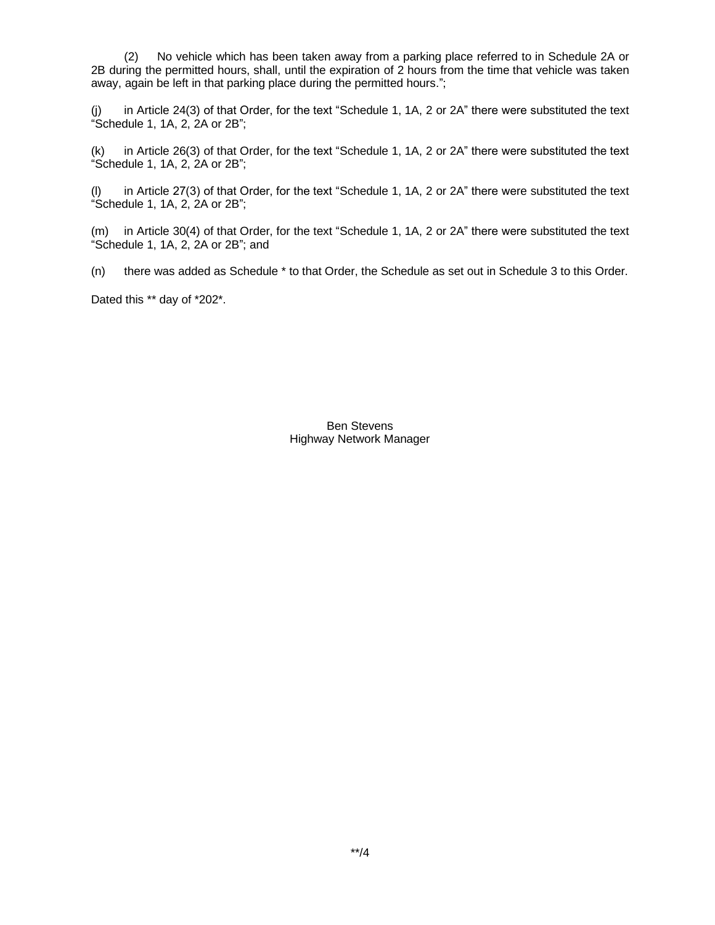(2) No vehicle which has been taken away from a parking place referred to in Schedule 2A or 2B during the permitted hours, shall, until the expiration of 2 hours from the time that vehicle was taken away, again be left in that parking place during the permitted hours.";

(j) in Article 24(3) of that Order, for the text "Schedule 1, 1A, 2 or 2A" there were substituted the text "Schedule 1, 1A, 2, 2A or 2B";

(k) in Article 26(3) of that Order, for the text "Schedule 1, 1A, 2 or 2A" there were substituted the text "Schedule 1, 1A, 2, 2A or 2B";

(l) in Article 27(3) of that Order, for the text "Schedule 1, 1A, 2 or 2A" there were substituted the text "Schedule 1, 1A, 2, 2A or 2B";

(m) in Article 30(4) of that Order, for the text "Schedule 1, 1A, 2 or 2A" there were substituted the text "Schedule 1, 1A, 2, 2A or 2B"; and

(n) there was added as Schedule \* to that Order, the Schedule as set out in Schedule 3 to this Order.

Dated this \*\* day of \*202\*.

Ben Stevens Highway Network Manager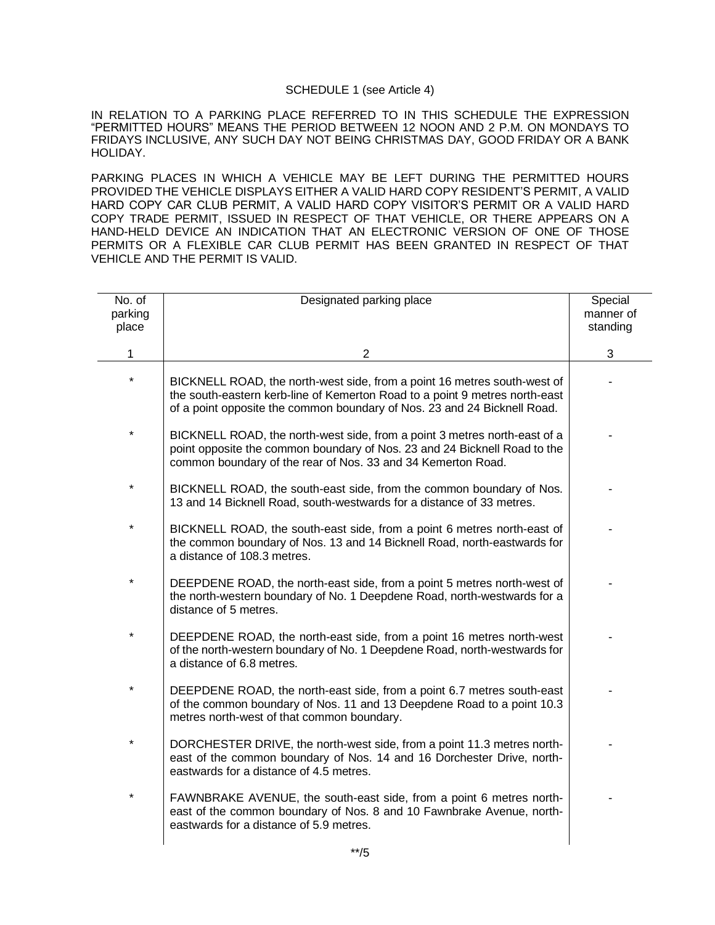#### SCHEDULE 1 (see Article 4)

IN RELATION TO A PARKING PLACE REFERRED TO IN THIS SCHEDULE THE EXPRESSION "PERMITTED HOURS" MEANS THE PERIOD BETWEEN 12 NOON AND 2 P.M. ON MONDAYS TO FRIDAYS INCLUSIVE, ANY SUCH DAY NOT BEING CHRISTMAS DAY, GOOD FRIDAY OR A BANK HOLIDAY.

PARKING PLACES IN WHICH A VEHICLE MAY BE LEFT DURING THE PERMITTED HOURS PROVIDED THE VEHICLE DISPLAYS EITHER A VALID HARD COPY RESIDENT'S PERMIT, A VALID HARD COPY CAR CLUB PERMIT, A VALID HARD COPY VISITOR'S PERMIT OR A VALID HARD COPY TRADE PERMIT, ISSUED IN RESPECT OF THAT VEHICLE, OR THERE APPEARS ON A HAND-HELD DEVICE AN INDICATION THAT AN ELECTRONIC VERSION OF ONE OF THOSE PERMITS OR A FLEXIBLE CAR CLUB PERMIT HAS BEEN GRANTED IN RESPECT OF THAT VEHICLE AND THE PERMIT IS VALID.

| No. of<br>parking<br>place | Designated parking place                                                                                                                                                                                                            | Special<br>manner of<br>standing |
|----------------------------|-------------------------------------------------------------------------------------------------------------------------------------------------------------------------------------------------------------------------------------|----------------------------------|
| 1                          | $\overline{2}$                                                                                                                                                                                                                      | 3                                |
| $\star$                    | BICKNELL ROAD, the north-west side, from a point 16 metres south-west of<br>the south-eastern kerb-line of Kemerton Road to a point 9 metres north-east<br>of a point opposite the common boundary of Nos. 23 and 24 Bicknell Road. |                                  |
| $\star$                    | BICKNELL ROAD, the north-west side, from a point 3 metres north-east of a<br>point opposite the common boundary of Nos. 23 and 24 Bicknell Road to the<br>common boundary of the rear of Nos. 33 and 34 Kemerton Road.              |                                  |
| $\star$                    | BICKNELL ROAD, the south-east side, from the common boundary of Nos.<br>13 and 14 Bicknell Road, south-westwards for a distance of 33 metres.                                                                                       |                                  |
| $\star$                    | BICKNELL ROAD, the south-east side, from a point 6 metres north-east of<br>the common boundary of Nos. 13 and 14 Bicknell Road, north-eastwards for<br>a distance of 108.3 metres.                                                  |                                  |
| $\star$                    | DEEPDENE ROAD, the north-east side, from a point 5 metres north-west of<br>the north-western boundary of No. 1 Deepdene Road, north-westwards for a<br>distance of 5 metres.                                                        |                                  |
| $\star$                    | DEEPDENE ROAD, the north-east side, from a point 16 metres north-west<br>of the north-western boundary of No. 1 Deepdene Road, north-westwards for<br>a distance of 6.8 metres.                                                     |                                  |
| $\star$                    | DEEPDENE ROAD, the north-east side, from a point 6.7 metres south-east<br>of the common boundary of Nos. 11 and 13 Deepdene Road to a point 10.3<br>metres north-west of that common boundary.                                      |                                  |
| $\star$                    | DORCHESTER DRIVE, the north-west side, from a point 11.3 metres north-<br>east of the common boundary of Nos. 14 and 16 Dorchester Drive, north-<br>eastwards for a distance of 4.5 metres.                                         |                                  |
| $\star$                    | FAWNBRAKE AVENUE, the south-east side, from a point 6 metres north-<br>east of the common boundary of Nos. 8 and 10 Fawnbrake Avenue, north-<br>eastwards for a distance of 5.9 metres.                                             |                                  |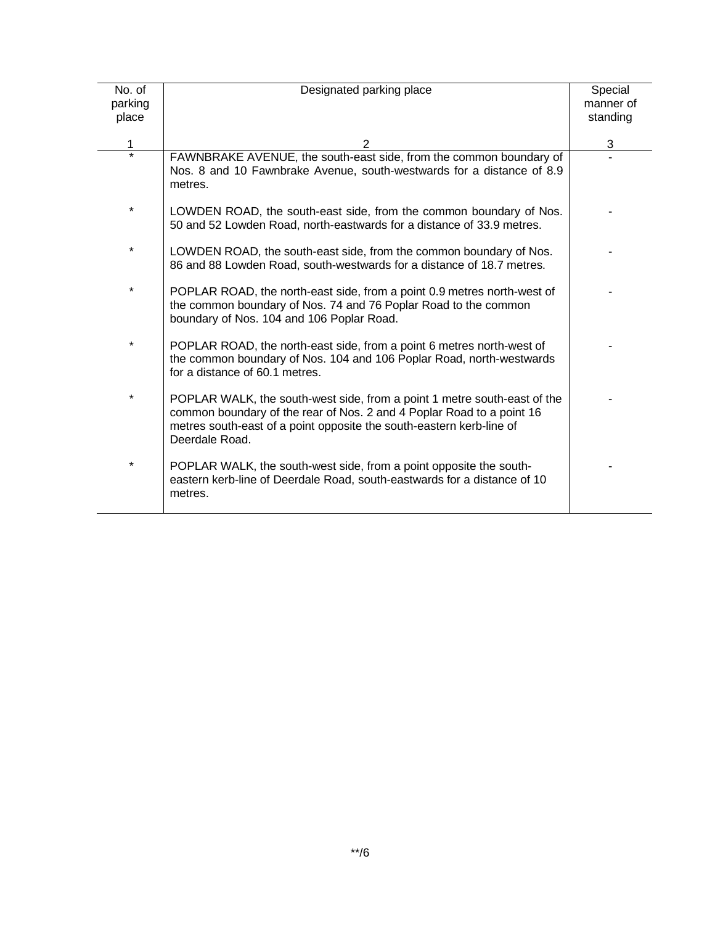| No. of<br>parking<br>place | Designated parking place                                                                                                                                                                                                                    | Special<br>manner of<br>standing |
|----------------------------|---------------------------------------------------------------------------------------------------------------------------------------------------------------------------------------------------------------------------------------------|----------------------------------|
| 1                          | $\overline{2}$                                                                                                                                                                                                                              | 3                                |
| $\star$                    | FAWNBRAKE AVENUE, the south-east side, from the common boundary of<br>Nos. 8 and 10 Fawnbrake Avenue, south-westwards for a distance of 8.9<br>metres.                                                                                      |                                  |
| $\star$                    | LOWDEN ROAD, the south-east side, from the common boundary of Nos.<br>50 and 52 Lowden Road, north-eastwards for a distance of 33.9 metres.                                                                                                 |                                  |
| $\star$                    | LOWDEN ROAD, the south-east side, from the common boundary of Nos.<br>86 and 88 Lowden Road, south-westwards for a distance of 18.7 metres.                                                                                                 |                                  |
| $\star$                    | POPLAR ROAD, the north-east side, from a point 0.9 metres north-west of<br>the common boundary of Nos. 74 and 76 Poplar Road to the common<br>boundary of Nos. 104 and 106 Poplar Road.                                                     |                                  |
| $\star$                    | POPLAR ROAD, the north-east side, from a point 6 metres north-west of<br>the common boundary of Nos. 104 and 106 Poplar Road, north-westwards<br>for a distance of 60.1 metres.                                                             |                                  |
| $\star$                    | POPLAR WALK, the south-west side, from a point 1 metre south-east of the<br>common boundary of the rear of Nos. 2 and 4 Poplar Road to a point 16<br>metres south-east of a point opposite the south-eastern kerb-line of<br>Deerdale Road. |                                  |
| $^\star$                   | POPLAR WALK, the south-west side, from a point opposite the south-<br>eastern kerb-line of Deerdale Road, south-eastwards for a distance of 10<br>metres.                                                                                   |                                  |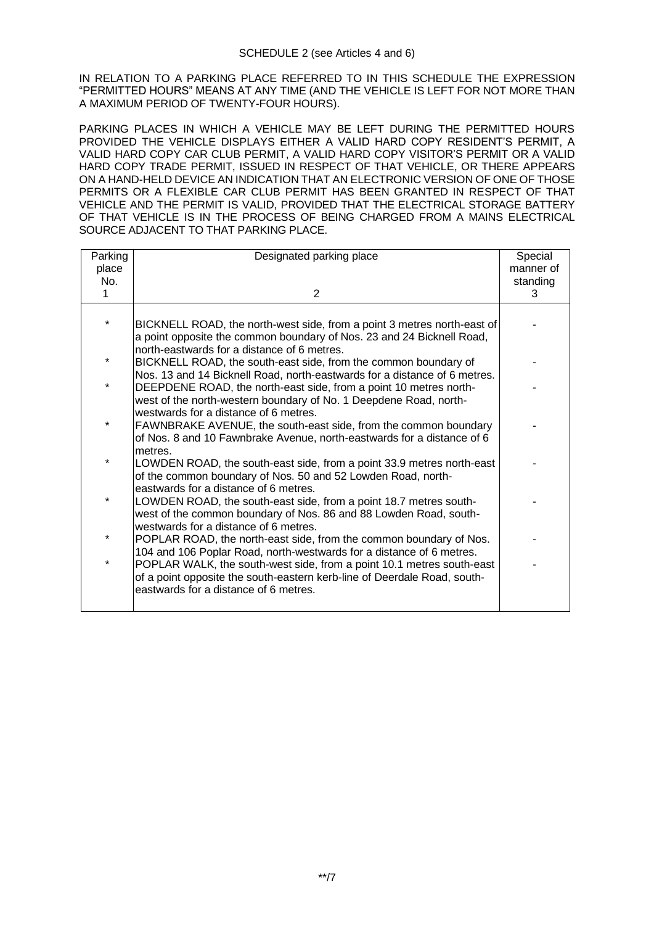IN RELATION TO A PARKING PLACE REFERRED TO IN THIS SCHEDULE THE EXPRESSION "PERMITTED HOURS" MEANS AT ANY TIME (AND THE VEHICLE IS LEFT FOR NOT MORE THAN A MAXIMUM PERIOD OF TWENTY-FOUR HOURS).

PARKING PLACES IN WHICH A VEHICLE MAY BE LEFT DURING THE PERMITTED HOURS PROVIDED THE VEHICLE DISPLAYS EITHER A VALID HARD COPY RESIDENT'S PERMIT, A VALID HARD COPY CAR CLUB PERMIT, A VALID HARD COPY VISITOR'S PERMIT OR A VALID HARD COPY TRADE PERMIT, ISSUED IN RESPECT OF THAT VEHICLE, OR THERE APPEARS ON A HAND-HELD DEVICE AN INDICATION THAT AN ELECTRONIC VERSION OF ONE OF THOSE PERMITS OR A FLEXIBLE CAR CLUB PERMIT HAS BEEN GRANTED IN RESPECT OF THAT VEHICLE AND THE PERMIT IS VALID, PROVIDED THAT THE ELECTRICAL STORAGE BATTERY OF THAT VEHICLE IS IN THE PROCESS OF BEING CHARGED FROM A MAINS ELECTRICAL SOURCE ADJACENT TO THAT PARKING PLACE.

| Parking | Designated parking place                                                                                                                          | Special   |
|---------|---------------------------------------------------------------------------------------------------------------------------------------------------|-----------|
| place   |                                                                                                                                                   | manner of |
| No.     |                                                                                                                                                   | standing  |
| 1       | $\overline{2}$                                                                                                                                    | 3         |
|         |                                                                                                                                                   |           |
| $\star$ | BICKNELL ROAD, the north-west side, from a point 3 metres north-east of                                                                           |           |
|         | a point opposite the common boundary of Nos. 23 and 24 Bicknell Road,                                                                             |           |
|         | north-eastwards for a distance of 6 metres.                                                                                                       |           |
| $\ast$  | BICKNELL ROAD, the south-east side, from the common boundary of                                                                                   |           |
| $\star$ | Nos. 13 and 14 Bicknell Road, north-eastwards for a distance of 6 metres.                                                                         |           |
|         | DEEPDENE ROAD, the north-east side, from a point 10 metres north-                                                                                 |           |
|         | west of the north-western boundary of No. 1 Deepdene Road, north-<br>westwards for a distance of 6 metres.                                        |           |
| $\ast$  | FAWNBRAKE AVENUE, the south-east side, from the common boundary                                                                                   |           |
|         | of Nos. 8 and 10 Fawnbrake Avenue, north-eastwards for a distance of 6                                                                            |           |
|         | metres.                                                                                                                                           |           |
| $\ast$  | LOWDEN ROAD, the south-east side, from a point 33.9 metres north-east                                                                             |           |
|         | of the common boundary of Nos. 50 and 52 Lowden Road, north-                                                                                      |           |
|         | eastwards for a distance of 6 metres.                                                                                                             |           |
|         | LOWDEN ROAD, the south-east side, from a point 18.7 metres south-                                                                                 |           |
|         | west of the common boundary of Nos. 86 and 88 Lowden Road, south-                                                                                 |           |
| *       | westwards for a distance of 6 metres.                                                                                                             |           |
|         | POPLAR ROAD, the north-east side, from the common boundary of Nos.                                                                                |           |
| $\star$ | 104 and 106 Poplar Road, north-westwards for a distance of 6 metres.                                                                              |           |
|         | POPLAR WALK, the south-west side, from a point 10.1 metres south-east<br>of a point opposite the south-eastern kerb-line of Deerdale Road, south- |           |
|         | eastwards for a distance of 6 metres.                                                                                                             |           |
|         |                                                                                                                                                   |           |
|         |                                                                                                                                                   |           |